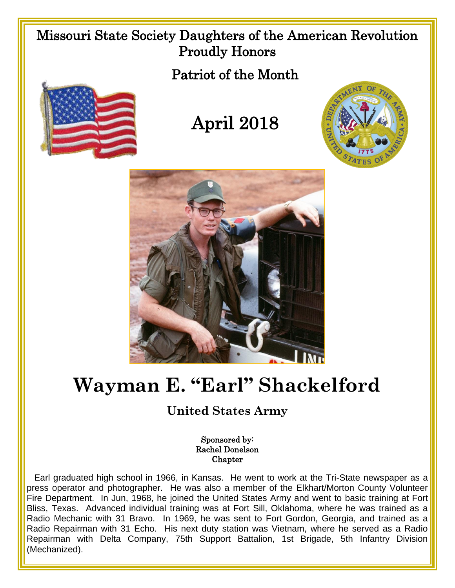## Missouri State Society Daughters of the American Revolution Proudly Honors

Patriot of the Month



## April 2018





## **Wayman E. "Earl" Shackelford**

## **United States Army**

Sponsored by: Rachel Donelson Chapter

 Earl graduated high school in 1966, in Kansas. He went to work at the Tri-State newspaper as a press operator and photographer. He was also a member of the Elkhart/Morton County Volunteer Fire Department. In Jun, 1968, he joined the United States Army and went to basic training at Fort Bliss, Texas. Advanced individual training was at Fort Sill, Oklahoma, where he was trained as a Radio Mechanic with 31 Bravo. In 1969, he was sent to Fort Gordon, Georgia, and trained as a Radio Repairman with 31 Echo. His next duty station was Vietnam, where he served as a Radio Repairman with Delta Company, 75th Support Battalion, 1st Brigade, 5th Infantry Division (Mechanized).